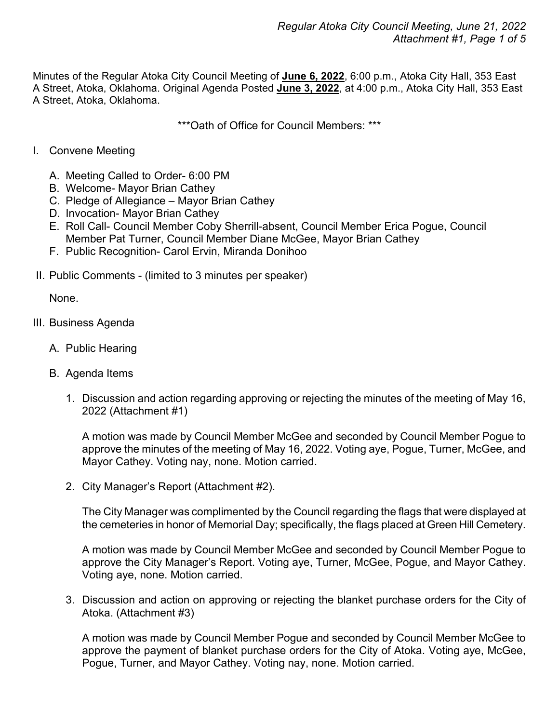Minutes of the Regular Atoka City Council Meeting of **June 6, 2022**, 6:00 p.m., Atoka City Hall, 353 East A Street, Atoka, Oklahoma. Original Agenda Posted **June 3, 2022**, at 4:00 p.m., Atoka City Hall, 353 East A Street, Atoka, Oklahoma.

\*\*\*Oath of Office for Council Members: \*\*\*

- I. Convene Meeting
	- A. Meeting Called to Order- 6:00 PM
	- B. Welcome- Mayor Brian Cathey
	- C. Pledge of Allegiance Mayor Brian Cathey
	- D. Invocation- Mayor Brian Cathey
	- E. Roll Call- Council Member Coby Sherrill-absent, Council Member Erica Pogue, Council Member Pat Turner, Council Member Diane McGee, Mayor Brian Cathey
	- F. Public Recognition- Carol Ervin, Miranda Donihoo
- II. Public Comments (limited to 3 minutes per speaker)

None.

- III. Business Agenda
	- A. Public Hearing
	- B. Agenda Items
		- 1. Discussion and action regarding approving or rejecting the minutes of the meeting of May 16, 2022 (Attachment #1)

A motion was made by Council Member McGee and seconded by Council Member Pogue to approve the minutes of the meeting of May 16, 2022. Voting aye, Pogue, Turner, McGee, and Mayor Cathey. Voting nay, none. Motion carried.

2. City Manager's Report (Attachment #2).

The City Manager was complimented by the Council regarding the flags that were displayed at the cemeteries in honor of Memorial Day; specifically, the flags placed at Green Hill Cemetery.

A motion was made by Council Member McGee and seconded by Council Member Pogue to approve the City Manager's Report. Voting aye, Turner, McGee, Pogue, and Mayor Cathey. Voting aye, none. Motion carried.

3. Discussion and action on approving or rejecting the blanket purchase orders for the City of Atoka. (Attachment #3)

A motion was made by Council Member Pogue and seconded by Council Member McGee to approve the payment of blanket purchase orders for the City of Atoka. Voting aye, McGee, Pogue, Turner, and Mayor Cathey. Voting nay, none. Motion carried.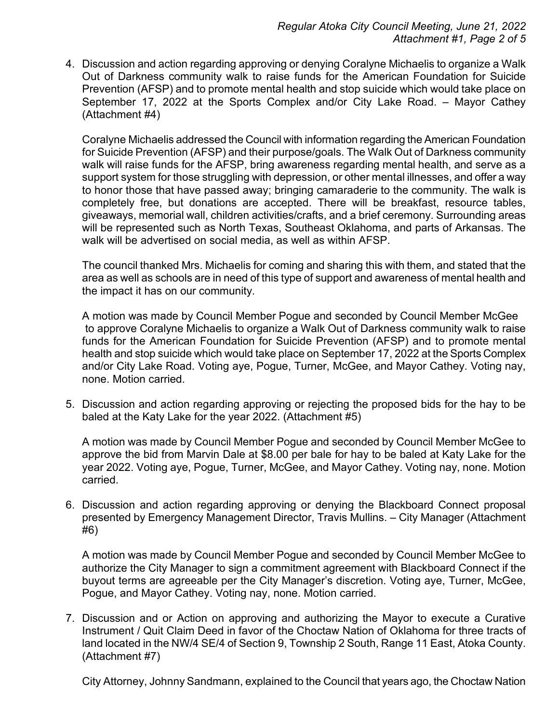4. Discussion and action regarding approving or denying Coralyne Michaelis to organize a Walk Out of Darkness community walk to raise funds for the American Foundation for Suicide Prevention (AFSP) and to promote mental health and stop suicide which would take place on September 17, 2022 at the Sports Complex and/or City Lake Road. – Mayor Cathey (Attachment #4)

Coralyne Michaelis addressed the Council with information regarding the American Foundation for Suicide Prevention (AFSP) and their purpose/goals. The Walk Out of Darkness community walk will raise funds for the AFSP, bring awareness regarding mental health, and serve as a support system for those struggling with depression, or other mental illnesses, and offer a way to honor those that have passed away; bringing camaraderie to the community. The walk is completely free, but donations are accepted. There will be breakfast, resource tables, giveaways, memorial wall, children activities/crafts, and a brief ceremony. Surrounding areas will be represented such as North Texas, Southeast Oklahoma, and parts of Arkansas. The walk will be advertised on social media, as well as within AFSP.

The council thanked Mrs. Michaelis for coming and sharing this with them, and stated that the area as well as schools are in need of this type of support and awareness of mental health and the impact it has on our community.

A motion was made by Council Member Pogue and seconded by Council Member McGee to approve Coralyne Michaelis to organize a Walk Out of Darkness community walk to raise funds for the American Foundation for Suicide Prevention (AFSP) and to promote mental health and stop suicide which would take place on September 17, 2022 at the Sports Complex and/or City Lake Road. Voting aye, Pogue, Turner, McGee, and Mayor Cathey. Voting nay, none. Motion carried.

5. Discussion and action regarding approving or rejecting the proposed bids for the hay to be baled at the Katy Lake for the year 2022. (Attachment #5)

A motion was made by Council Member Pogue and seconded by Council Member McGee to approve the bid from Marvin Dale at \$8.00 per bale for hay to be baled at Katy Lake for the year 2022. Voting aye, Pogue, Turner, McGee, and Mayor Cathey. Voting nay, none. Motion carried.

6. Discussion and action regarding approving or denying the Blackboard Connect proposal presented by Emergency Management Director, Travis Mullins. – City Manager (Attachment #6)

A motion was made by Council Member Pogue and seconded by Council Member McGee to authorize the City Manager to sign a commitment agreement with Blackboard Connect if the buyout terms are agreeable per the City Manager's discretion. Voting aye, Turner, McGee, Pogue, and Mayor Cathey. Voting nay, none. Motion carried.

7. Discussion and or Action on approving and authorizing the Mayor to execute a Curative Instrument / Quit Claim Deed in favor of the Choctaw Nation of Oklahoma for three tracts of land located in the NW/4 SE/4 of Section 9, Township 2 South, Range 11 East, Atoka County. (Attachment #7)

City Attorney, Johnny Sandmann, explained to the Council that years ago, the Choctaw Nation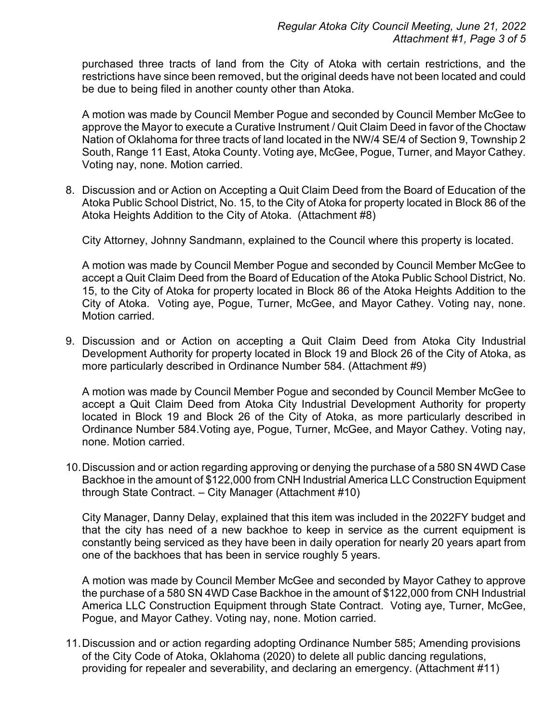purchased three tracts of land from the City of Atoka with certain restrictions, and the restrictions have since been removed, but the original deeds have not been located and could be due to being filed in another county other than Atoka.

A motion was made by Council Member Pogue and seconded by Council Member McGee to approve the Mayor to execute a Curative Instrument / Quit Claim Deed in favor of the Choctaw Nation of Oklahoma for three tracts of land located in the NW/4 SE/4 of Section 9, Township 2 South, Range 11 East, Atoka County. Voting aye, McGee, Pogue, Turner, and Mayor Cathey. Voting nay, none. Motion carried.

8. Discussion and or Action on Accepting a Quit Claim Deed from the Board of Education of the Atoka Public School District, No. 15, to the City of Atoka for property located in Block 86 of the Atoka Heights Addition to the City of Atoka. (Attachment #8)

City Attorney, Johnny Sandmann, explained to the Council where this property is located.

A motion was made by Council Member Pogue and seconded by Council Member McGee to accept a Quit Claim Deed from the Board of Education of the Atoka Public School District, No. 15, to the City of Atoka for property located in Block 86 of the Atoka Heights Addition to the City of Atoka. Voting aye, Pogue, Turner, McGee, and Mayor Cathey. Voting nay, none. Motion carried.

9. Discussion and or Action on accepting a Quit Claim Deed from Atoka City Industrial Development Authority for property located in Block 19 and Block 26 of the City of Atoka, as more particularly described in Ordinance Number 584. (Attachment #9)

A motion was made by Council Member Pogue and seconded by Council Member McGee to accept a Quit Claim Deed from Atoka City Industrial Development Authority for property located in Block 19 and Block 26 of the City of Atoka, as more particularly described in Ordinance Number 584.Voting aye, Pogue, Turner, McGee, and Mayor Cathey. Voting nay, none. Motion carried.

10.Discussion and or action regarding approving or denying the purchase of a 580 SN 4WD Case Backhoe in the amount of \$122,000 from CNH Industrial America LLC Construction Equipment through State Contract. – City Manager (Attachment #10)

City Manager, Danny Delay, explained that this item was included in the 2022FY budget and that the city has need of a new backhoe to keep in service as the current equipment is constantly being serviced as they have been in daily operation for nearly 20 years apart from one of the backhoes that has been in service roughly 5 years.

A motion was made by Council Member McGee and seconded by Mayor Cathey to approve the purchase of a 580 SN 4WD Case Backhoe in the amount of \$122,000 from CNH Industrial America LLC Construction Equipment through State Contract. Voting aye, Turner, McGee, Pogue, and Mayor Cathey. Voting nay, none. Motion carried.

11.Discussion and or action regarding adopting Ordinance Number 585; Amending provisions of the City Code of Atoka, Oklahoma (2020) to delete all public dancing regulations, providing for repealer and severability, and declaring an emergency. (Attachment #11)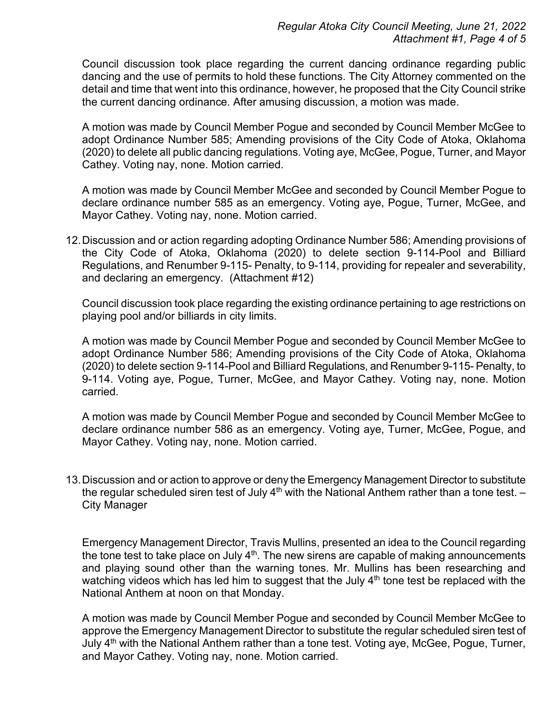Council discussion took place regarding the current dancing ordinance regarding public dancing and the use of permits to hold these functions. The City Attorney commented on the detail and time that went into this ordinance, however, he proposed that the City Council strike the current dancing ordinance. After amusing discussion, a motion was made.

A motion was made by Council Member Pogue and seconded by Council Member McGee to adopt Ordinance Number 585; Amending provisions of the City Code of Atoka, Oklahoma (2020) to delete all public dancing regulations. Voting aye, McGee, Pogue, Turner, and Mayor Cathey. Voting nay, none. Motion carried.

A motion was made by Council Member McGee and seconded by Council Member Pogue to declare ordinance number 585 as an emergency. Voting aye, Pogue, Turner, McGee, and Mayor Cathey. Voting nay, none. Motion carried.

12.Discussion and or action regarding adopting Ordinance Number 586; Amending provisions of the City Code of Atoka, Oklahoma (2020) to delete section 9-114-Pool and Billiard Regulations, and Renumber 9-115- Penalty, to 9-114, providing for repealer and severability, and declaring an emergency. (Attachment #12)

Council discussion took place regarding the existing ordinance pertaining to age restrictions on playing pool and/or billiards in city limits.

A motion was made by Council Member Pogue and seconded by Council Member McGee to adopt Ordinance Number 586; Amending provisions of the City Code of Atoka, Oklahoma (2020) to delete section 9-114-Pool and Billiard Regulations, and Renumber 9-115- Penalty, to 9-114. Voting aye, Pogue, Turner, McGee, and Mayor Cathey. Voting nay, none. Motion carried.

A motion was made by Council Member Pogue and seconded by Council Member McGee to declare ordinance number 586 as an emergency. Voting aye, Turner, McGee, Pogue, and Mayor Cathey. Voting nay, none. Motion carried.

13.Discussion and or action to approve or deny the Emergency Management Director to substitute the regular scheduled siren test of July  $4<sup>th</sup>$  with the National Anthem rather than a tone test.  $-$ City Manager

Emergency Management Director, Travis Mullins, presented an idea to the Council regarding the tone test to take place on July  $4<sup>th</sup>$ . The new sirens are capable of making announcements and playing sound other than the warning tones. Mr. Mullins has been researching and watching videos which has led him to suggest that the July  $4<sup>th</sup>$  tone test be replaced with the National Anthem at noon on that Monday.

A motion was made by Council Member Pogue and seconded by Council Member McGee to approve the Emergency Management Director to substitute the regular scheduled siren test of July 4<sup>th</sup> with the National Anthem rather than a tone test. Voting aye, McGee, Pogue, Turner, and Mayor Cathey. Voting nay, none. Motion carried.